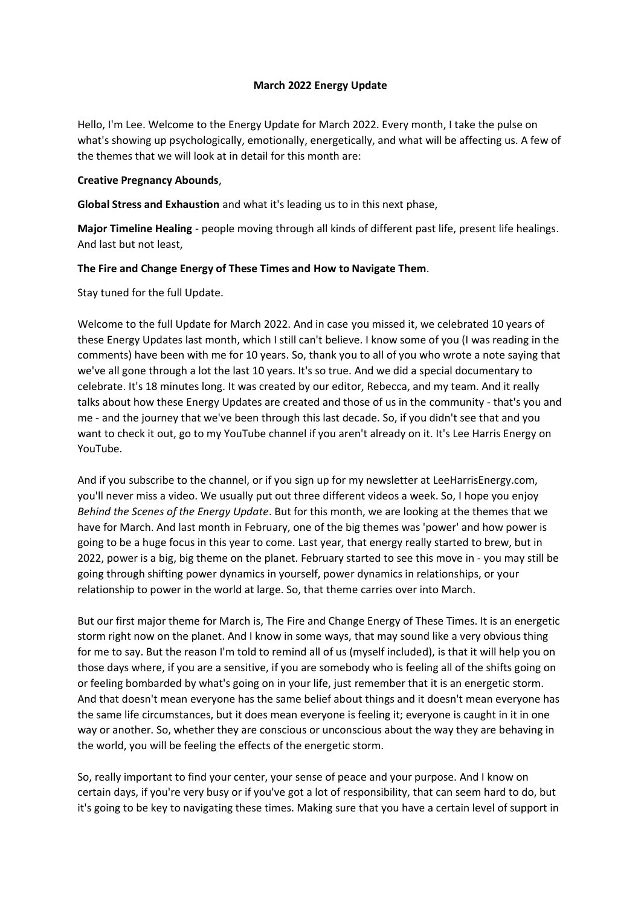## **March 2022 Energy Update**

Hello, I'm Lee. Welcome to the Energy Update for March 2022. Every month, I take the pulse on what's showing up psychologically, emotionally, energetically, and what will be affecting us. A few of the themes that we will look at in detail for this month are:

## **Creative Pregnancy Abounds**,

**Global Stress and Exhaustion** and what it's leading us to in this next phase,

**Major Timeline Healing** - people moving through all kinds of different past life, present life healings. And last but not least,

## **The Fire and Change Energy of These Times and How to Navigate Them**.

Stay tuned for the full Update.

Welcome to the full Update for March 2022. And in case you missed it, we celebrated 10 years of these Energy Updates last month, which I still can't believe. I know some of you (I was reading in the comments) have been with me for 10 years. So, thank you to all of you who wrote a note saying that we've all gone through a lot the last 10 years. It's so true. And we did a special documentary to celebrate. It's 18 minutes long. It was created by our editor, Rebecca, and my team. And it really talks about how these Energy Updates are created and those of us in the community - that's you and me - and the journey that we've been through this last decade. So, if you didn't see that and you want to check it out, go to my YouTube channel if you aren't already on it. It's Lee Harris Energy on YouTube.

And if you subscribe to the channel, or if you sign up for my newsletter at LeeHarrisEnergy.com, you'll never miss a video. We usually put out three different videos a week. So, I hope you enjoy *Behind the Scenes of the Energy Update*. But for this month, we are looking at the themes that we have for March. And last month in February, one of the big themes was 'power' and how power is going to be a huge focus in this year to come. Last year, that energy really started to brew, but in 2022, power is a big, big theme on the planet. February started to see this move in - you may still be going through shifting power dynamics in yourself, power dynamics in relationships, or your relationship to power in the world at large. So, that theme carries over into March.

But our first major theme for March is, The Fire and Change Energy of These Times. It is an energetic storm right now on the planet. And I know in some ways, that may sound like a very obvious thing for me to say. But the reason I'm told to remind all of us (myself included), is that it will help you on those days where, if you are a sensitive, if you are somebody who is feeling all of the shifts going on or feeling bombarded by what's going on in your life, just remember that it is an energetic storm. And that doesn't mean everyone has the same belief about things and it doesn't mean everyone has the same life circumstances, but it does mean everyone is feeling it; everyone is caught in it in one way or another. So, whether they are conscious or unconscious about the way they are behaving in the world, you will be feeling the effects of the energetic storm.

So, really important to find your center, your sense of peace and your purpose. And I know on certain days, if you're very busy or if you've got a lot of responsibility, that can seem hard to do, but it's going to be key to navigating these times. Making sure that you have a certain level of support in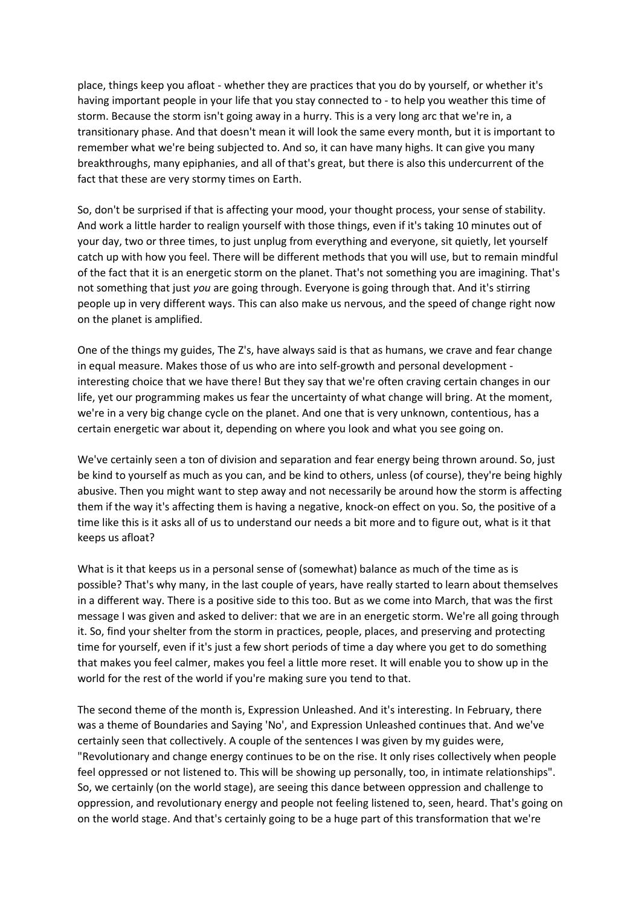place, things keep you afloat - whether they are practices that you do by yourself, or whether it's having important people in your life that you stay connected to - to help you weather this time of storm. Because the storm isn't going away in a hurry. This is a very long arc that we're in, a transitionary phase. And that doesn't mean it will look the same every month, but it is important to remember what we're being subjected to. And so, it can have many highs. It can give you many breakthroughs, many epiphanies, and all of that's great, but there is also this undercurrent of the fact that these are very stormy times on Earth.

So, don't be surprised if that is affecting your mood, your thought process, your sense of stability. And work a little harder to realign yourself with those things, even if it's taking 10 minutes out of your day, two or three times, to just unplug from everything and everyone, sit quietly, let yourself catch up with how you feel. There will be different methods that you will use, but to remain mindful of the fact that it is an energetic storm on the planet. That's not something you are imagining. That's not something that just *you* are going through. Everyone is going through that. And it's stirring people up in very different ways. This can also make us nervous, and the speed of change right now on the planet is amplified.

One of the things my guides, The Z's, have always said is that as humans, we crave and fear change in equal measure. Makes those of us who are into self-growth and personal development interesting choice that we have there! But they say that we're often craving certain changes in our life, yet our programming makes us fear the uncertainty of what change will bring. At the moment, we're in a very big change cycle on the planet. And one that is very unknown, contentious, has a certain energetic war about it, depending on where you look and what you see going on.

We've certainly seen a ton of division and separation and fear energy being thrown around. So, just be kind to yourself as much as you can, and be kind to others, unless (of course), they're being highly abusive. Then you might want to step away and not necessarily be around how the storm is affecting them if the way it's affecting them is having a negative, knock-on effect on you. So, the positive of a time like this is it asks all of us to understand our needs a bit more and to figure out, what is it that keeps us afloat?

What is it that keeps us in a personal sense of (somewhat) balance as much of the time as is possible? That's why many, in the last couple of years, have really started to learn about themselves in a different way. There is a positive side to this too. But as we come into March, that was the first message I was given and asked to deliver: that we are in an energetic storm. We're all going through it. So, find your shelter from the storm in practices, people, places, and preserving and protecting time for yourself, even if it's just a few short periods of time a day where you get to do something that makes you feel calmer, makes you feel a little more reset. It will enable you to show up in the world for the rest of the world if you're making sure you tend to that.

The second theme of the month is, Expression Unleashed. And it's interesting. In February, there was a theme of Boundaries and Saying 'No', and Expression Unleashed continues that. And we've certainly seen that collectively. A couple of the sentences I was given by my guides were, "Revolutionary and change energy continues to be on the rise. It only rises collectively when people feel oppressed or not listened to. This will be showing up personally, too, in intimate relationships". So, we certainly (on the world stage), are seeing this dance between oppression and challenge to oppression, and revolutionary energy and people not feeling listened to, seen, heard. That's going on on the world stage. And that's certainly going to be a huge part of this transformation that we're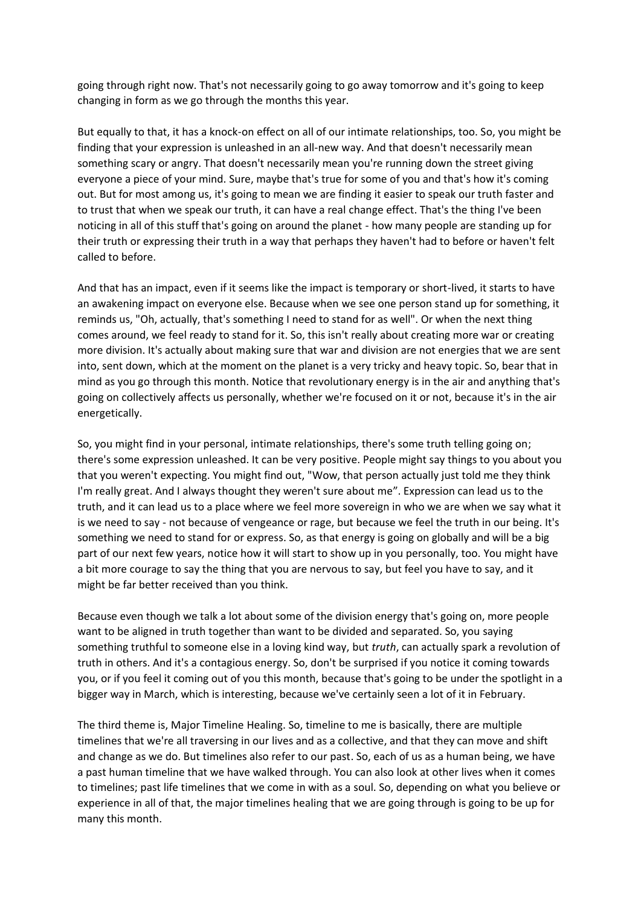going through right now. That's not necessarily going to go away tomorrow and it's going to keep changing in form as we go through the months this year.

But equally to that, it has a knock-on effect on all of our intimate relationships, too. So, you might be finding that your expression is unleashed in an all-new way. And that doesn't necessarily mean something scary or angry. That doesn't necessarily mean you're running down the street giving everyone a piece of your mind. Sure, maybe that's true for some of you and that's how it's coming out. But for most among us, it's going to mean we are finding it easier to speak our truth faster and to trust that when we speak our truth, it can have a real change effect. That's the thing I've been noticing in all of this stuff that's going on around the planet - how many people are standing up for their truth or expressing their truth in a way that perhaps they haven't had to before or haven't felt called to before.

And that has an impact, even if it seems like the impact is temporary or short-lived, it starts to have an awakening impact on everyone else. Because when we see one person stand up for something, it reminds us, "Oh, actually, that's something I need to stand for as well". Or when the next thing comes around, we feel ready to stand for it. So, this isn't really about creating more war or creating more division. It's actually about making sure that war and division are not energies that we are sent into, sent down, which at the moment on the planet is a very tricky and heavy topic. So, bear that in mind as you go through this month. Notice that revolutionary energy is in the air and anything that's going on collectively affects us personally, whether we're focused on it or not, because it's in the air energetically.

So, you might find in your personal, intimate relationships, there's some truth telling going on; there's some expression unleashed. It can be very positive. People might say things to you about you that you weren't expecting. You might find out, "Wow, that person actually just told me they think I'm really great. And I always thought they weren't sure about me". Expression can lead us to the truth, and it can lead us to a place where we feel more sovereign in who we are when we say what it is we need to say - not because of vengeance or rage, but because we feel the truth in our being. It's something we need to stand for or express. So, as that energy is going on globally and will be a big part of our next few years, notice how it will start to show up in you personally, too. You might have a bit more courage to say the thing that you are nervous to say, but feel you have to say, and it might be far better received than you think.

Because even though we talk a lot about some of the division energy that's going on, more people want to be aligned in truth together than want to be divided and separated. So, you saying something truthful to someone else in a loving kind way, but *truth*, can actually spark a revolution of truth in others. And it's a contagious energy. So, don't be surprised if you notice it coming towards you, or if you feel it coming out of you this month, because that's going to be under the spotlight in a bigger way in March, which is interesting, because we've certainly seen a lot of it in February.

The third theme is, Major Timeline Healing. So, timeline to me is basically, there are multiple timelines that we're all traversing in our lives and as a collective, and that they can move and shift and change as we do. But timelines also refer to our past. So, each of us as a human being, we have a past human timeline that we have walked through. You can also look at other lives when it comes to timelines; past life timelines that we come in with as a soul. So, depending on what you believe or experience in all of that, the major timelines healing that we are going through is going to be up for many this month.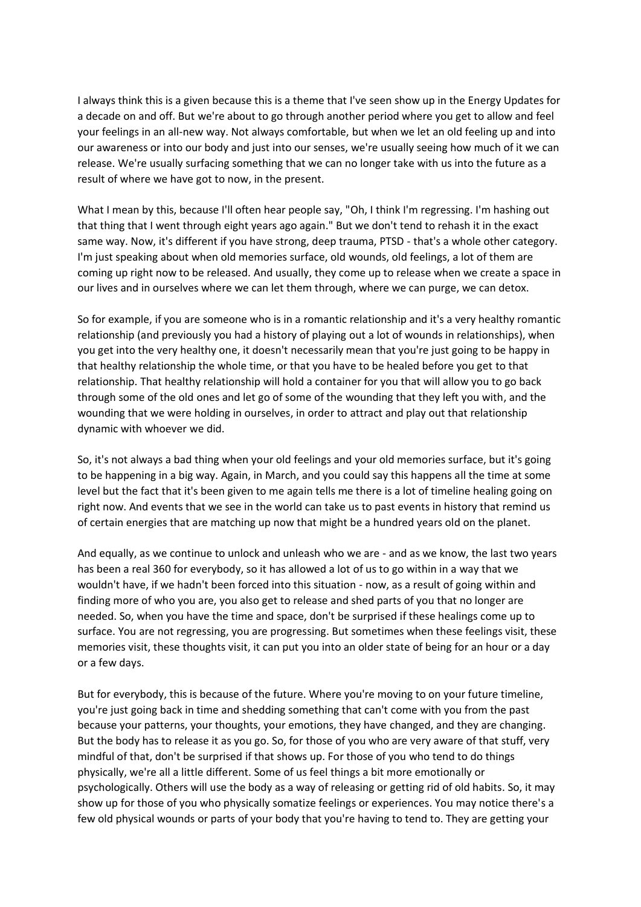I always think this is a given because this is a theme that I've seen show up in the Energy Updates for a decade on and off. But we're about to go through another period where you get to allow and feel your feelings in an all-new way. Not always comfortable, but when we let an old feeling up and into our awareness or into our body and just into our senses, we're usually seeing how much of it we can release. We're usually surfacing something that we can no longer take with us into the future as a result of where we have got to now, in the present.

What I mean by this, because I'll often hear people say, "Oh, I think I'm regressing. I'm hashing out that thing that I went through eight years ago again." But we don't tend to rehash it in the exact same way. Now, it's different if you have strong, deep trauma, PTSD - that's a whole other category. I'm just speaking about when old memories surface, old wounds, old feelings, a lot of them are coming up right now to be released. And usually, they come up to release when we create a space in our lives and in ourselves where we can let them through, where we can purge, we can detox.

So for example, if you are someone who is in a romantic relationship and it's a very healthy romantic relationship (and previously you had a history of playing out a lot of wounds in relationships), when you get into the very healthy one, it doesn't necessarily mean that you're just going to be happy in that healthy relationship the whole time, or that you have to be healed before you get to that relationship. That healthy relationship will hold a container for you that will allow you to go back through some of the old ones and let go of some of the wounding that they left you with, and the wounding that we were holding in ourselves, in order to attract and play out that relationship dynamic with whoever we did.

So, it's not always a bad thing when your old feelings and your old memories surface, but it's going to be happening in a big way. Again, in March, and you could say this happens all the time at some level but the fact that it's been given to me again tells me there is a lot of timeline healing going on right now. And events that we see in the world can take us to past events in history that remind us of certain energies that are matching up now that might be a hundred years old on the planet.

And equally, as we continue to unlock and unleash who we are - and as we know, the last two years has been a real 360 for everybody, so it has allowed a lot of us to go within in a way that we wouldn't have, if we hadn't been forced into this situation - now, as a result of going within and finding more of who you are, you also get to release and shed parts of you that no longer are needed. So, when you have the time and space, don't be surprised if these healings come up to surface. You are not regressing, you are progressing. But sometimes when these feelings visit, these memories visit, these thoughts visit, it can put you into an older state of being for an hour or a day or a few days.

But for everybody, this is because of the future. Where you're moving to on your future timeline, you're just going back in time and shedding something that can't come with you from the past because your patterns, your thoughts, your emotions, they have changed, and they are changing. But the body has to release it as you go. So, for those of you who are very aware of that stuff, very mindful of that, don't be surprised if that shows up. For those of you who tend to do things physically, we're all a little different. Some of us feel things a bit more emotionally or psychologically. Others will use the body as a way of releasing or getting rid of old habits. So, it may show up for those of you who physically somatize feelings or experiences. You may notice there's a few old physical wounds or parts of your body that you're having to tend to. They are getting your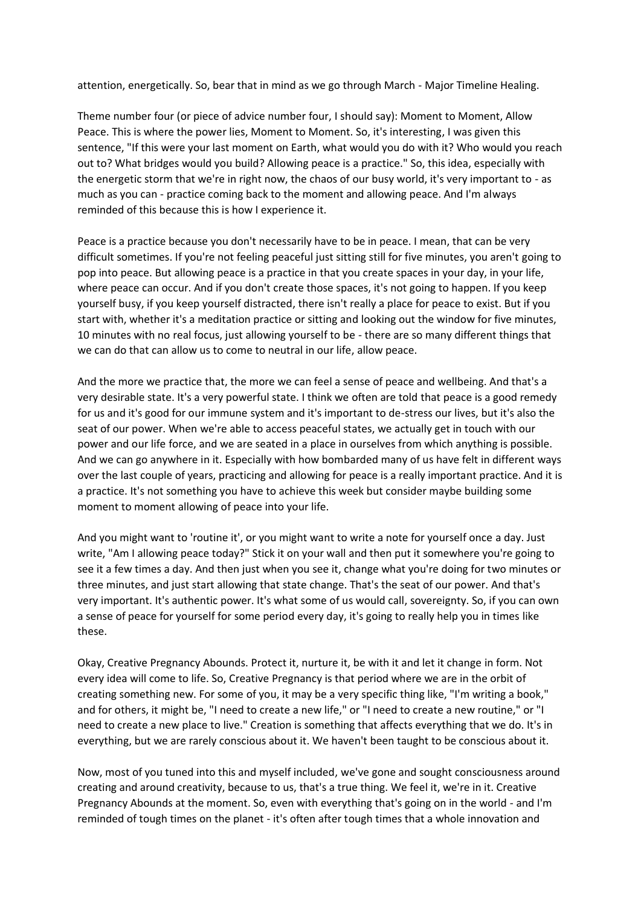attention, energetically. So, bear that in mind as we go through March - Major Timeline Healing.

Theme number four (or piece of advice number four, I should say): Moment to Moment, Allow Peace. This is where the power lies, Moment to Moment. So, it's interesting, I was given this sentence, "If this were your last moment on Earth, what would you do with it? Who would you reach out to? What bridges would you build? Allowing peace is a practice." So, this idea, especially with the energetic storm that we're in right now, the chaos of our busy world, it's very important to - as much as you can - practice coming back to the moment and allowing peace. And I'm always reminded of this because this is how I experience it.

Peace is a practice because you don't necessarily have to be in peace. I mean, that can be very difficult sometimes. If you're not feeling peaceful just sitting still for five minutes, you aren't going to pop into peace. But allowing peace is a practice in that you create spaces in your day, in your life, where peace can occur. And if you don't create those spaces, it's not going to happen. If you keep yourself busy, if you keep yourself distracted, there isn't really a place for peace to exist. But if you start with, whether it's a meditation practice or sitting and looking out the window for five minutes, 10 minutes with no real focus, just allowing yourself to be - there are so many different things that we can do that can allow us to come to neutral in our life, allow peace.

And the more we practice that, the more we can feel a sense of peace and wellbeing. And that's a very desirable state. It's a very powerful state. I think we often are told that peace is a good remedy for us and it's good for our immune system and it's important to de-stress our lives, but it's also the seat of our power. When we're able to access peaceful states, we actually get in touch with our power and our life force, and we are seated in a place in ourselves from which anything is possible. And we can go anywhere in it. Especially with how bombarded many of us have felt in different ways over the last couple of years, practicing and allowing for peace is a really important practice. And it is a practice. It's not something you have to achieve this week but consider maybe building some moment to moment allowing of peace into your life.

And you might want to 'routine it', or you might want to write a note for yourself once a day. Just write, "Am I allowing peace today?" Stick it on your wall and then put it somewhere you're going to see it a few times a day. And then just when you see it, change what you're doing for two minutes or three minutes, and just start allowing that state change. That's the seat of our power. And that's very important. It's authentic power. It's what some of us would call, sovereignty. So, if you can own a sense of peace for yourself for some period every day, it's going to really help you in times like these.

Okay, Creative Pregnancy Abounds. Protect it, nurture it, be with it and let it change in form. Not every idea will come to life. So, Creative Pregnancy is that period where we are in the orbit of creating something new. For some of you, it may be a very specific thing like, "I'm writing a book," and for others, it might be, "I need to create a new life," or "I need to create a new routine," or "I need to create a new place to live." Creation is something that affects everything that we do. It's in everything, but we are rarely conscious about it. We haven't been taught to be conscious about it.

Now, most of you tuned into this and myself included, we've gone and sought consciousness around creating and around creativity, because to us, that's a true thing. We feel it, we're in it. Creative Pregnancy Abounds at the moment. So, even with everything that's going on in the world - and I'm reminded of tough times on the planet - it's often after tough times that a whole innovation and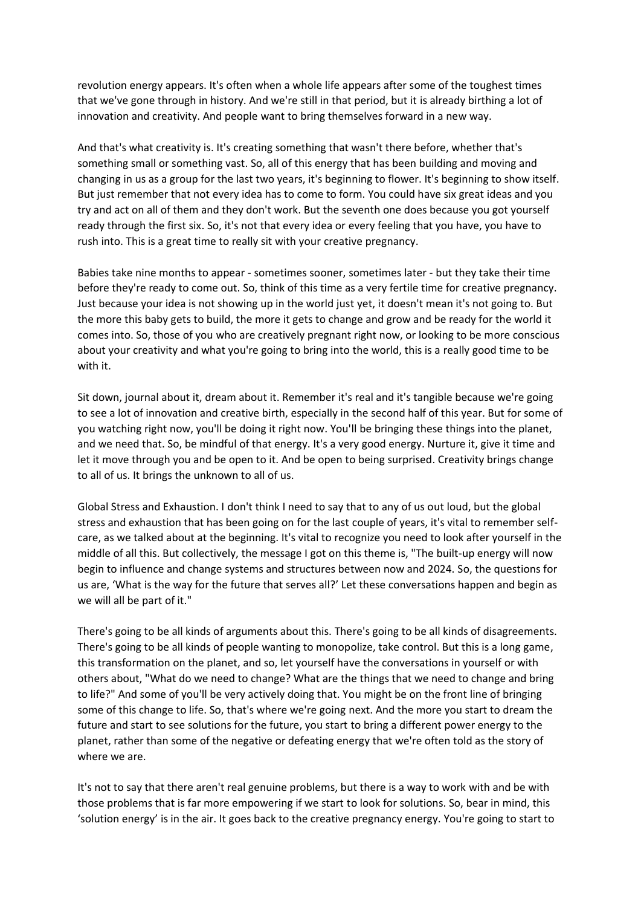revolution energy appears. It's often when a whole life appears after some of the toughest times that we've gone through in history. And we're still in that period, but it is already birthing a lot of innovation and creativity. And people want to bring themselves forward in a new way.

And that's what creativity is. It's creating something that wasn't there before, whether that's something small or something vast. So, all of this energy that has been building and moving and changing in us as a group for the last two years, it's beginning to flower. It's beginning to show itself. But just remember that not every idea has to come to form. You could have six great ideas and you try and act on all of them and they don't work. But the seventh one does because you got yourself ready through the first six. So, it's not that every idea or every feeling that you have, you have to rush into. This is a great time to really sit with your creative pregnancy.

Babies take nine months to appear - sometimes sooner, sometimes later - but they take their time before they're ready to come out. So, think of this time as a very fertile time for creative pregnancy. Just because your idea is not showing up in the world just yet, it doesn't mean it's not going to. But the more this baby gets to build, the more it gets to change and grow and be ready for the world it comes into. So, those of you who are creatively pregnant right now, or looking to be more conscious about your creativity and what you're going to bring into the world, this is a really good time to be with it.

Sit down, journal about it, dream about it. Remember it's real and it's tangible because we're going to see a lot of innovation and creative birth, especially in the second half of this year. But for some of you watching right now, you'll be doing it right now. You'll be bringing these things into the planet, and we need that. So, be mindful of that energy. It's a very good energy. Nurture it, give it time and let it move through you and be open to it. And be open to being surprised. Creativity brings change to all of us. It brings the unknown to all of us.

Global Stress and Exhaustion. I don't think I need to say that to any of us out loud, but the global stress and exhaustion that has been going on for the last couple of years, it's vital to remember selfcare, as we talked about at the beginning. It's vital to recognize you need to look after yourself in the middle of all this. But collectively, the message I got on this theme is, "The built-up energy will now begin to influence and change systems and structures between now and 2024. So, the questions for us are, 'What is the way for the future that serves all?' Let these conversations happen and begin as we will all be part of it."

There's going to be all kinds of arguments about this. There's going to be all kinds of disagreements. There's going to be all kinds of people wanting to monopolize, take control. But this is a long game, this transformation on the planet, and so, let yourself have the conversations in yourself or with others about, "What do we need to change? What are the things that we need to change and bring to life?" And some of you'll be very actively doing that. You might be on the front line of bringing some of this change to life. So, that's where we're going next. And the more you start to dream the future and start to see solutions for the future, you start to bring a different power energy to the planet, rather than some of the negative or defeating energy that we're often told as the story of where we are.

It's not to say that there aren't real genuine problems, but there is a way to work with and be with those problems that is far more empowering if we start to look for solutions. So, bear in mind, this 'solution energy' is in the air. It goes back to the creative pregnancy energy. You're going to start to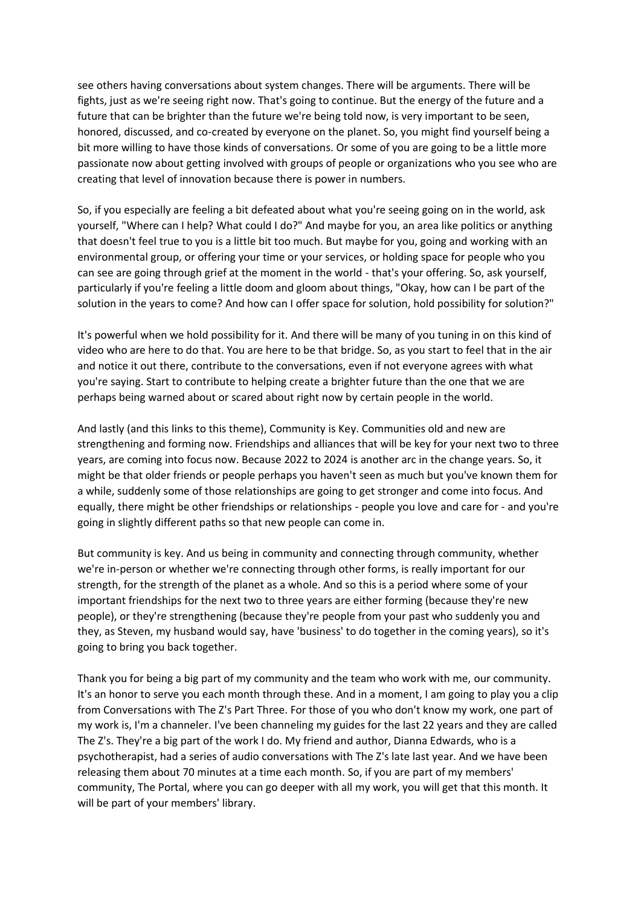see others having conversations about system changes. There will be arguments. There will be fights, just as we're seeing right now. That's going to continue. But the energy of the future and a future that can be brighter than the future we're being told now, is very important to be seen, honored, discussed, and co-created by everyone on the planet. So, you might find yourself being a bit more willing to have those kinds of conversations. Or some of you are going to be a little more passionate now about getting involved with groups of people or organizations who you see who are creating that level of innovation because there is power in numbers.

So, if you especially are feeling a bit defeated about what you're seeing going on in the world, ask yourself, "Where can I help? What could I do?" And maybe for you, an area like politics or anything that doesn't feel true to you is a little bit too much. But maybe for you, going and working with an environmental group, or offering your time or your services, or holding space for people who you can see are going through grief at the moment in the world - that's your offering. So, ask yourself, particularly if you're feeling a little doom and gloom about things, "Okay, how can I be part of the solution in the years to come? And how can I offer space for solution, hold possibility for solution?"

It's powerful when we hold possibility for it. And there will be many of you tuning in on this kind of video who are here to do that. You are here to be that bridge. So, as you start to feel that in the air and notice it out there, contribute to the conversations, even if not everyone agrees with what you're saying. Start to contribute to helping create a brighter future than the one that we are perhaps being warned about or scared about right now by certain people in the world.

And lastly (and this links to this theme), Community is Key. Communities old and new are strengthening and forming now. Friendships and alliances that will be key for your next two to three years, are coming into focus now. Because 2022 to 2024 is another arc in the change years. So, it might be that older friends or people perhaps you haven't seen as much but you've known them for a while, suddenly some of those relationships are going to get stronger and come into focus. And equally, there might be other friendships or relationships - people you love and care for - and you're going in slightly different paths so that new people can come in.

But community is key. And us being in community and connecting through community, whether we're in-person or whether we're connecting through other forms, is really important for our strength, for the strength of the planet as a whole. And so this is a period where some of your important friendships for the next two to three years are either forming (because they're new people), or they're strengthening (because they're people from your past who suddenly you and they, as Steven, my husband would say, have 'business' to do together in the coming years), so it's going to bring you back together.

Thank you for being a big part of my community and the team who work with me, our community. It's an honor to serve you each month through these. And in a moment, I am going to play you a clip from Conversations with The Z's Part Three. For those of you who don't know my work, one part of my work is, I'm a channeler. I've been channeling my guides for the last 22 years and they are called The Z's. They're a big part of the work I do. My friend and author, Dianna Edwards, who is a psychotherapist, had a series of audio conversations with The Z's late last year. And we have been releasing them about 70 minutes at a time each month. So, if you are part of my members' community, The Portal, where you can go deeper with all my work, you will get that this month. It will be part of your members' library.